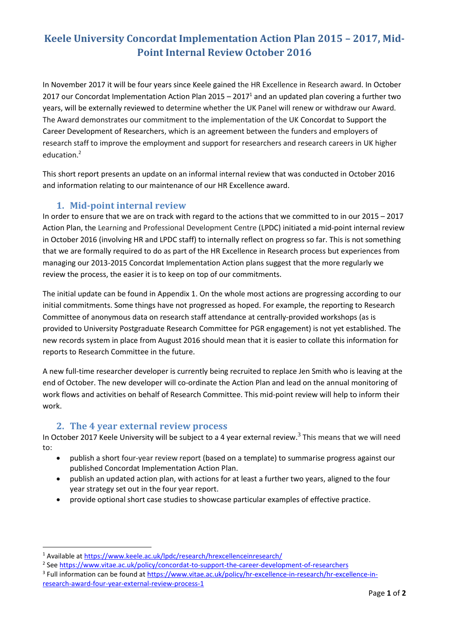## **Keele University Concordat Implementation Action Plan 2015 – 2017, Mid-Point Internal Review October 2016**

In November 2017 it will be four years since Keele gained the HR Excellence in Research award. In October 2017 our Concordat Implementation Action Plan 2015 – 2017<sup>1</sup> and an updated plan covering a further two years, will be externally reviewed to determine whether the UK Panel will renew or withdraw our Award. The Award demonstrates our commitment to the implementation of the UK Concordat to Support the Career Development of Researchers, which is an agreement between the funders and employers of research staff to improve the employment and support for researchers and research careers in UK higher education.<sup>2</sup>

This short report presents an update on an informal internal review that was conducted in October 2016 and information relating to our maintenance of our HR Excellence award.

## **1. Mid-point internal review**

In order to ensure that we are on track with regard to the actions that we committed to in our 2015 – 2017 Action Plan, the Learning and Professional Development Centre (LPDC) initiated a mid-point internal review in October 2016 (involving HR and LPDC staff) to internally reflect on progress so far. This is not something that we are formally required to do as part of the HR Excellence in Research process but experiences from managing our 2013-2015 Concordat Implementation Action plans suggest that the more regularly we review the process, the easier it is to keep on top of our commitments.

The initial update can be found in Appendix 1. On the whole most actions are progressing according to our initial commitments. Some things have not progressed as hoped. For example, the reporting to Research Committee of anonymous data on research staff attendance at centrally-provided workshops (as is provided to University Postgraduate Research Committee for PGR engagement) is not yet established. The new records system in place from August 2016 should mean that it is easier to collate this information for reports to Research Committee in the future.

A new full-time researcher developer is currently being recruited to replace Jen Smith who is leaving at the end of October. The new developer will co-ordinate the Action Plan and lead on the annual monitoring of work flows and activities on behalf of Research Committee. This mid-point review will help to inform their work.

## **2. The 4 year external review process**

In October 2017 Keele University will be subject to a 4 year external review.<sup>3</sup> This means that we will need to:

- publish a short four-year review report (based on a template) to summarise progress against our published Concordat Implementation Action Plan.
- publish an updated action plan, with actions for at least a further two years, aligned to the four year strategy set out in the four year report.
- provide optional short case studies to showcase particular examples of effective practice.

**.** 

<sup>1</sup> Available at<https://www.keele.ac.uk/lpdc/research/hrexcellenceinresearch/>

<sup>&</sup>lt;sup>2</sup> See<https://www.vitae.ac.uk/policy/concordat-to-support-the-career-development-of-researchers>

<sup>&</sup>lt;sup>3</sup> Full information can be found at [https://www.vitae.ac.uk/policy/hr-excellence-in-research/hr-excellence-in](https://www.vitae.ac.uk/policy/hr-excellence-in-research/hr-excellence-in-research-award-four-year-external-review-process-1)[research-award-four-year-external-review-process-1](https://www.vitae.ac.uk/policy/hr-excellence-in-research/hr-excellence-in-research-award-four-year-external-review-process-1)